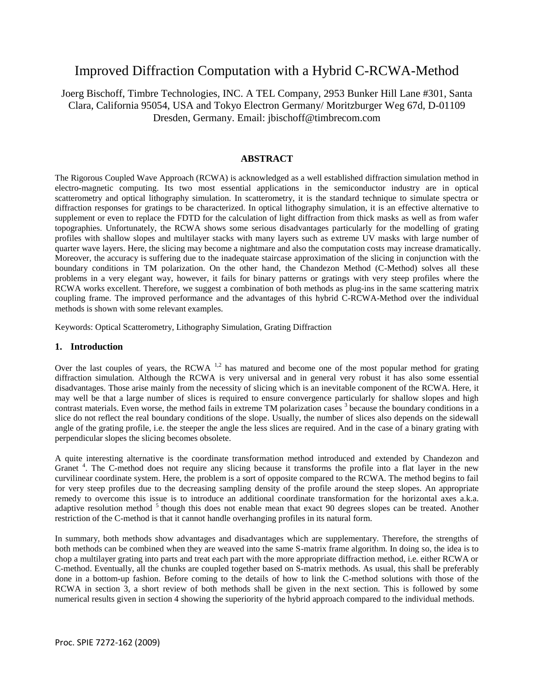# Improved Diffraction Computation with a Hybrid C-RCWA-Method

Joerg Bischoff, Timbre Technologies, INC. A TEL Company, 2953 Bunker Hill Lane #301, Santa Clara, California 95054, USA and Tokyo Electron Germany/ Moritzburger Weg 67d, D-01109 Dresden, Germany. Email: jbischoff@timbrecom.com

# **ABSTRACT**

The Rigorous Coupled Wave Approach (RCWA) is acknowledged as a well established diffraction simulation method in electro-magnetic computing. Its two most essential applications in the semiconductor industry are in optical scatterometry and optical lithography simulation. In scatterometry, it is the standard technique to simulate spectra or diffraction responses for gratings to be characterized. In optical lithography simulation, it is an effective alternative to supplement or even to replace the FDTD for the calculation of light diffraction from thick masks as well as from wafer topographies. Unfortunately, the RCWA shows some serious disadvantages particularly for the modelling of grating profiles with shallow slopes and multilayer stacks with many layers such as extreme UV masks with large number of quarter wave layers. Here, the slicing may become a nightmare and also the computation costs may increase dramatically. Moreover, the accuracy is suffering due to the inadequate staircase approximation of the slicing in conjunction with the boundary conditions in TM polarization. On the other hand, the Chandezon Method (C-Method) solves all these problems in a very elegant way, however, it fails for binary patterns or gratings with very steep profiles where the RCWA works excellent. Therefore, we suggest a combination of both methods as plug-ins in the same scattering matrix coupling frame. The improved performance and the advantages of this hybrid C-RCWA-Method over the individual methods is shown with some relevant examples.

Keywords: Optical Scatterometry, Lithography Simulation, Grating Diffraction

## **1. Introduction**

Over the last couples of years, the RCWA  $^{1,2}$  has matured and become one of the most popular method for grating diffraction simulation. Although the RCWA is very universal and in general very robust it has also some essential disadvantages. Those arise mainly from the necessity of slicing which is an inevitable component of the RCWA. Here, it may well be that a large number of slices is required to ensure convergence particularly for shallow slopes and high contrast materials. Even worse, the method fails in extreme TM polarization cases  $3$  because the boundary conditions in a slice do not reflect the real boundary conditions of the slope. Usually, the number of slices also depends on the sidewall angle of the grating profile, i.e. the steeper the angle the less slices are required. And in the case of a binary grating with perpendicular slopes the slicing becomes obsolete.

A quite interesting alternative is the coordinate transformation method introduced and extended by Chandezon and Granet<sup>4</sup>. The C-method does not require any slicing because it transforms the profile into a flat layer in the new curvilinear coordinate system. Here, the problem is a sort of opposite compared to the RCWA. The method begins to fail for very steep profiles due to the decreasing sampling density of the profile around the steep slopes. An appropriate remedy to overcome this issue is to introduce an additional coordinate transformation for the horizontal axes a.k.a. adaptive resolution method  $5$  though this does not enable mean that exact 90 degrees slopes can be treated. Another restriction of the C-method is that it cannot handle overhanging profiles in its natural form.

In summary, both methods show advantages and disadvantages which are supplementary. Therefore, the strengths of both methods can be combined when they are weaved into the same S-matrix frame algorithm. In doing so, the idea is to chop a multilayer grating into parts and treat each part with the more appropriate diffraction method, i.e. either RCWA or C-method. Eventually, all the chunks are coupled together based on S-matrix methods. As usual, this shall be preferably done in a bottom-up fashion. Before coming to the details of how to link the C-method solutions with those of the RCWA in section 3, a short review of both methods shall be given in the next section. This is followed by some numerical results given in section 4 showing the superiority of the hybrid approach compared to the individual methods.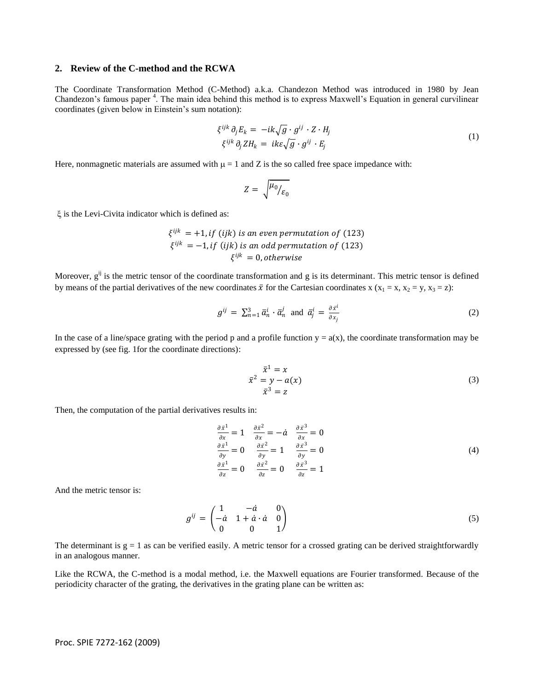#### **2. Review of the C-method and the RCWA**

The Coordinate Transformation Method (C-Method) a.k.a. Chandezon Method was introduced in 1980 by Jean Chandezon's famous paper<sup>4</sup>. The main idea behind this method is to express Maxwell's Equation in general curvilinear coordinates (given below in Einstein's sum notation):

$$
\xi^{ijk} \partial_j E_k = -ik \sqrt{g} \cdot g^{ij} \cdot Z \cdot H_j
$$
  
\n
$$
\xi^{ijk} \partial_j Z H_k = ik \varepsilon \sqrt{g} \cdot g^{ij} \cdot E_j
$$
\n(1)

Here, nonmagnetic materials are assumed with  $\mu = 1$  and Z is the so called free space impedance with:

$$
Z = \sqrt{\frac{\mu_0}{\varepsilon_0}}
$$

 $\xi$  is the Levi-Civita indicator which is defined as:

$$
\xi^{ijk} = +1
$$
, if (ijk) is an even permutation of (123)  
\n $\xi^{ijk} = -1$ , if (ijk) is an odd permutation of (123)  
\n $\xi^{ijk} = 0$ , otherwise

Moreover,  $g^{ij}$  is the metric tensor of the coordinate transformation and g is its determinant. This metric tensor is defined by means of the partial derivatives of the new coordinates  $\bar{x}$  for the Cartesian coordinates x (x<sub>1</sub> = x, x<sub>2</sub> = y, x<sub>3</sub> = z):

$$
g^{ij} = \sum_{n=1}^{3} \bar{a}_n^i \cdot \bar{a}_n^j \text{ and } \bar{a}_j^i = \frac{\partial \bar{x}^i}{\partial x_j}
$$
 (2)

In the case of a line/space grating with the period p and a profile function  $y = a(x)$ , the coordinate transformation may be expressed by (see fig. 1for the coordinate directions):

$$
\bar{x}^1 = x
$$
  
\n
$$
\bar{x}^2 = y - a(x)
$$
  
\n
$$
\bar{x}^3 = z
$$
\n(3)

Then, the computation of the partial derivatives results in:

$$
\frac{\partial \bar{x}^1}{\partial x} = 1 \quad \frac{\partial \bar{x}^2}{\partial x} = -\dot{a} \quad \frac{\partial \bar{x}^3}{\partial x} = 0
$$
  
\n
$$
\frac{\partial \bar{x}^1}{\partial y} = 0 \quad \frac{\partial \bar{x}^2}{\partial y} = 1 \quad \frac{\partial \bar{x}^3}{\partial y} = 0
$$
  
\n
$$
\frac{\partial \bar{x}^1}{\partial z} = 0 \quad \frac{\partial \bar{x}^2}{\partial z} = 0 \quad \frac{\partial \bar{x}^3}{\partial z} = 1
$$
\n(4)

And the metric tensor is:

$$
g^{ij} = \begin{pmatrix} 1 & -\dot{a} & 0 \\ -\dot{a} & 1 + \dot{a} \cdot \dot{a} & 0 \\ 0 & 0 & 1 \end{pmatrix} \tag{5}
$$

The determinant is  $g = 1$  as can be verified easily. A metric tensor for a crossed grating can be derived straightforwardly in an analogous manner.

Like the RCWA, the C-method is a modal method, i.e. the Maxwell equations are Fourier transformed. Because of the periodicity character of the grating, the derivatives in the grating plane can be written as: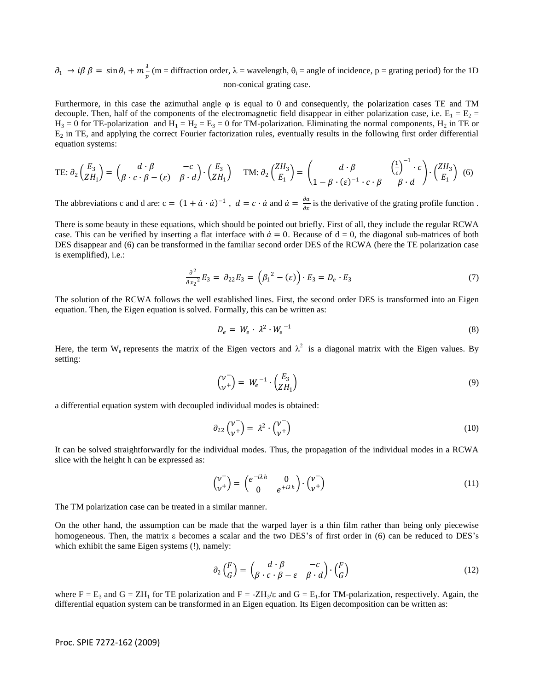$\partial_1 \rightarrow i \beta \beta = \sin \theta_i + m \frac{\lambda}{n}$  $\frac{\lambda}{p}$  (m = diffraction order,  $\lambda$  = wavelength,  $\theta_i$  = angle of incidence, p = grating period) for the 1D non-conical grating case.

Furthermore, in this case the azimuthal angle  $\varphi$  is equal to 0 and consequently, the polarization cases TE and TM decouple. Then, half of the components of the electromagnetic field disappear in either polarization case, i.e.  $E_1 = E_2$  $H_3 = 0$  for TE-polarization and  $H_1 = H_2 = E_3 = 0$  for TM-polarization. Eliminating the normal components,  $H_2$  in TE or  $E_2$  in TE, and applying the correct Fourier factorization rules, eventually results in the following first order differential equation systems:

TE: 
$$
\partial_2 \begin{pmatrix} E_3 \\ ZH_1 \end{pmatrix} = \begin{pmatrix} d \cdot \beta & -c \\ \beta \cdot c \cdot \beta - (\varepsilon) & \beta \cdot d \end{pmatrix} \cdot \begin{pmatrix} E_3 \\ ZH_1 \end{pmatrix}
$$
 TM:  $\partial_2 \begin{pmatrix} ZH_3 \\ E_1 \end{pmatrix} = \begin{pmatrix} d \cdot \beta & \left(\frac{1}{\varepsilon}\right)^{-1} \cdot c \\ 1 - \beta \cdot (\varepsilon)^{-1} \cdot c \cdot \beta & \beta \cdot d \end{pmatrix} \cdot \begin{pmatrix} ZH_3 \\ E_1 \end{pmatrix}$  (6)

The abbreviations c and d are: c =  $(1 + \dot{a} \cdot \dot{a})^{-1}$ ,  $d = c \cdot \dot{a}$  and  $\dot{a} = \frac{\partial a}{\partial a}$  $\frac{\partial u}{\partial x}$  is the derivative of the grating profile function.

There is some beauty in these equations, which should be pointed out briefly. First of all, they include the regular RCWA case. This can be verified by inserting a flat interface with  $\dot{a} = 0$ . Because of  $d = 0$ , the diagonal sub-matrices of both DES disappear and (6) can be transformed in the familiar second order DES of the RCWA (here the TE polarization case is exemplified), i.e.:

$$
\frac{\partial^2}{\partial x_2^2} E_3 = \partial_{22} E_3 = (\beta_1^2 - (\varepsilon)) \cdot E_3 = D_e \cdot E_3 \tag{7}
$$

The solution of the RCWA follows the well established lines. First, the second order DES is transformed into an Eigen equation. Then, the Eigen equation is solved. Formally, this can be written as:

$$
D_e = W_e \cdot \lambda^2 \cdot W_e^{-1} \tag{8}
$$

Here, the term W<sub>e</sub> represents the matrix of the Eigen vectors and  $\lambda^2$  is a diagonal matrix with the Eigen values. By setting:

$$
\begin{pmatrix} \nu^- \\ \nu^+ \end{pmatrix} = W_e^{-1} \cdot \begin{pmatrix} E_3 \\ ZH_1 \end{pmatrix} \tag{9}
$$

a differential equation system with decoupled individual modes is obtained:

$$
\partial_{22} \begin{pmatrix} \nu^- \\ \nu^+ \end{pmatrix} = \lambda^2 \cdot \begin{pmatrix} \nu^- \\ \nu^+ \end{pmatrix} \tag{10}
$$

It can be solved straightforwardly for the individual modes. Thus, the propagation of the individual modes in a RCWA slice with the height h can be expressed as:

$$
\begin{pmatrix} \nu^{-} \\ \nu^{+} \end{pmatrix} = \begin{pmatrix} e^{-i\lambda h} & 0 \\ 0 & e^{+i\lambda h} \end{pmatrix} \cdot \begin{pmatrix} \nu^{-} \\ \nu^{+} \end{pmatrix} \tag{11}
$$

The TM polarization case can be treated in a similar manner.

On the other hand, the assumption can be made that the warped layer is a thin film rather than being only piecewise homogeneous. Then, the matrix  $\varepsilon$  becomes a scalar and the two DES's of first order in (6) can be reduced to DES's which exhibit the same Eigen systems (!), namely:

$$
\partial_2 \begin{pmatrix} F \\ G \end{pmatrix} = \begin{pmatrix} d \cdot \beta & -c \\ \beta \cdot c \cdot \beta - \varepsilon & \beta \cdot d \end{pmatrix} \cdot \begin{pmatrix} F \\ G \end{pmatrix}
$$
(12)

where  $F = E_3$  and  $G = ZH_1$  for TE polarization and  $F = -ZH_3/\varepsilon$  and  $G = E_1$ . for TM-polarization, respectively. Again, the differential equation system can be transformed in an Eigen equation. Its Eigen decomposition can be written as: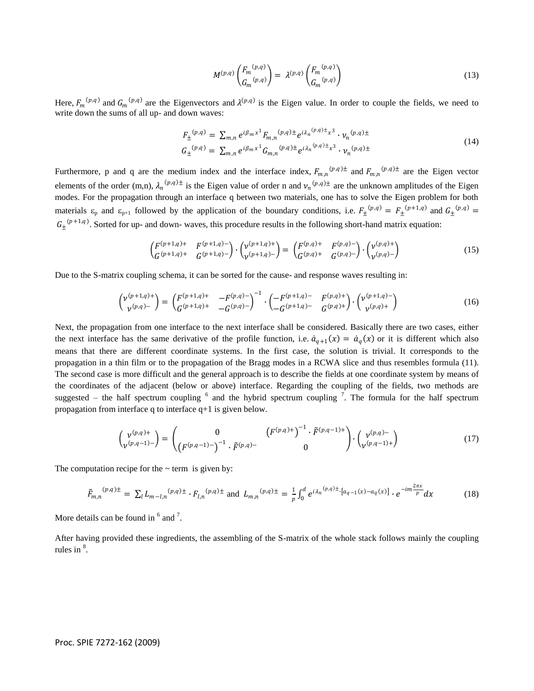$$
M^{(p,q)}\binom{F_m^{(p,q)}}{G_m^{(p,q)}} = \lambda^{(p,q)}\binom{F_m^{(p,q)}}{G_m^{(p,q)}}
$$
(13)

Here,  $F_m^{(p,q)}$  and  $G_m^{(p,q)}$  are the Eigenvectors and  $\lambda^{(p,q)}$  is the Eigen value. In order to couple the fields, we need to write down the sums of all up- and down waves:

$$
F_{\pm}^{(p,q)} = \sum_{m,n} e^{i\beta_m x^1} F_{m,n}^{(p,q)\pm} e^{i\lambda_n^{(p,q)\pm} x^3} \cdot \nu_n^{(p,q)\pm}
$$
  
\n
$$
G_{\pm}^{(p,q)} = \sum_{m,n} e^{i\beta_m x^1} G_{m,n}^{(p,q)\pm} e^{i\lambda_n^{(p,q)\pm} x^3} \cdot \nu_n^{(p,q)\pm}
$$
\n(14)

Furthermore, p and q are the medium index and the interface index,  $F_{m,n}^{(p,q)}$  and  $F_{m,n}^{(p,q)}$  are the Eigen vector elements of the order (m,n),  $\lambda_n^{(p,q)\pm}$  is the Eigen value of order n and  $\nu_n^{(p,q)\pm}$  are the unknown amplitudes of the Eigen modes. For the propagation through an interface q between two materials, one has to solve the Eigen problem for both materials  $\varepsilon_p$  and  $\varepsilon_{p+1}$  followed by the application of the boundary conditions, i.e.  $F_{\pm}^{(p,q)} = F_{\pm}^{(p+1,q)}$  and  $G_{\pm}^{(p,q)} =$  $G_{\pm}^{(p+1,q)}$ . Sorted for up- and down-waves, this procedure results in the following short-hand matrix equation:

$$
\begin{pmatrix} F^{(p+1,q)+} & F^{(p+1,q)-} \\ G^{(p+1,q)+} & G^{(p+1,q)-} \end{pmatrix} \cdot \begin{pmatrix} \nu^{(p+1,q)+} \\ \nu^{(p+1,q)-} \end{pmatrix} = \begin{pmatrix} F^{(p,q)+} & F^{(p,q)-} \\ G^{(p,q)+} & G^{(p,q)-} \end{pmatrix} \cdot \begin{pmatrix} \nu^{(p,q)+} \\ \nu^{(p,q)-} \end{pmatrix} \tag{15}
$$

Due to the S-matrix coupling schema, it can be sorted for the cause- and response waves resulting in:

$$
\begin{pmatrix} \nu^{(p+1,q)+} \\ \nu^{(p,q)-} \end{pmatrix} = \begin{pmatrix} F^{(p+1,q)+} & -F^{(p,q)-} \\ G^{(p+1,q)+} & -G^{(p,q)-} \end{pmatrix}^{-1} \cdot \begin{pmatrix} -F^{(p+1,q)-} & F^{(p,q)+} \\ -G^{(p+1,q)-} & G^{(p,q)+} \end{pmatrix} \cdot \begin{pmatrix} \nu^{(p+1,q)-} \\ \nu^{(p,q)+} \end{pmatrix}
$$
(16)

Next, the propagation from one interface to the next interface shall be considered. Basically there are two cases, either the next interface has the same derivative of the profile function, i.e.  $\dot{a}_{q+1}(x) = \dot{a}_q(x)$  or it is different which also means that there are different coordinate systems. In the first case, the solution is trivial. It corresponds to the propagation in a thin film or to the propagation of the Bragg modes in a RCWA slice and thus resembles formula (11). The second case is more difficult and the general approach is to describe the fields at one coordinate system by means of the coordinates of the adjacent (below or above) interface. Regarding the coupling of the fields, two methods are suggested – the half spectrum coupling  $\delta$  and the hybrid spectrum coupling  $\delta$ . The formula for the half spectrum propagation from interface q to interface q+1 is given below.

$$
\begin{pmatrix} \nu^{(p,q)+} \\ \nu^{(p,q-1)-} \end{pmatrix} = \begin{pmatrix} 0 & \left( F^{(p,q)+} \right)^{-1} \cdot \tilde{F}^{(p,q-1)+} \\ \left( F^{(p,q-1)-} \right)^{-1} \cdot \tilde{F}^{(p,q)-} & 0 \end{pmatrix} \cdot \begin{pmatrix} \nu^{(p,q)-} \\ \nu^{(p,q-1)+} \end{pmatrix} \tag{17}
$$

The computation recipe for the  $\sim$  term is given by:

$$
\tilde{F}_{m,n}^{(p,q)\pm} = \sum_{l} L_{m-l,n}^{(p,q)\pm} \cdot F_{l,n}^{(p,q)\pm} \text{ and } L_{m,n}^{(p,q)\pm} = \frac{1}{p} \int_0^d e^{i\lambda_n^{(p,q)\pm} \cdot [a_{q-1}(x) - a_q(x)]} \cdot e^{-im\frac{2\pi x}{p}} dx \tag{18}
$$

More details can be found in  $<sup>6</sup>$  and  $<sup>7</sup>$ .</sup></sup>

After having provided these ingredients, the assembling of the S-matrix of the whole stack follows mainly the coupling rules in  $\mathrm{^{8}}$ .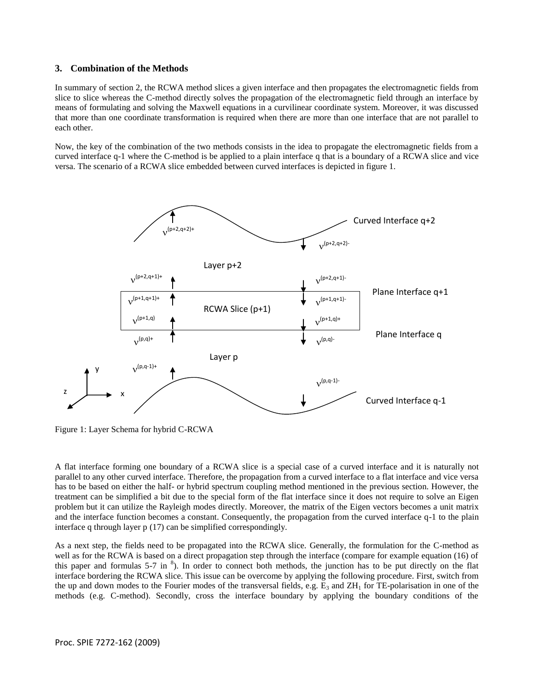## **3. Combination of the Methods**

In summary of section 2, the RCWA method slices a given interface and then propagates the electromagnetic fields from slice to slice whereas the C-method directly solves the propagation of the electromagnetic field through an interface by means of formulating and solving the Maxwell equations in a curvilinear coordinate system. Moreover, it was discussed that more than one coordinate transformation is required when there are more than one interface that are not parallel to each other.

Now, the key of the combination of the two methods consists in the idea to propagate the electromagnetic fields from a curved interface q-1 where the C-method is be applied to a plain interface q that is a boundary of a RCWA slice and vice versa. The scenario of a RCWA slice embedded between curved interfaces is depicted in figure 1.



Figure 1: Layer Schema for hybrid C-RCWA

A flat interface forming one boundary of a RCWA slice is a special case of a curved interface and it is naturally not parallel to any other curved interface. Therefore, the propagation from a curved interface to a flat interface and vice versa has to be based on either the half- or hybrid spectrum coupling method mentioned in the previous section. However, the treatment can be simplified a bit due to the special form of the flat interface since it does not require to solve an Eigen problem but it can utilize the Rayleigh modes directly. Moreover, the matrix of the Eigen vectors becomes a unit matrix and the interface function becomes a constant. Consequently, the propagation from the curved interface q-1 to the plain interface q through layer p (17) can be simplified correspondingly.

As a next step, the fields need to be propagated into the RCWA slice. Generally, the formulation for the C-method as well as for the RCWA is based on a direct propagation step through the interface (compare for example equation (16) of this paper and formulas  $5-7$  in  $\textdegree$ ). In order to connect both methods, the junction has to be put directly on the flat interface bordering the RCWA slice. This issue can be overcome by applying the following procedure. First, switch from the up and down modes to the Fourier modes of the transversal fields, e.g.  $E_3$  and  $ZH_1$  for TE-polarisation in one of the methods (e.g. C-method). Secondly, cross the interface boundary by applying the boundary conditions of the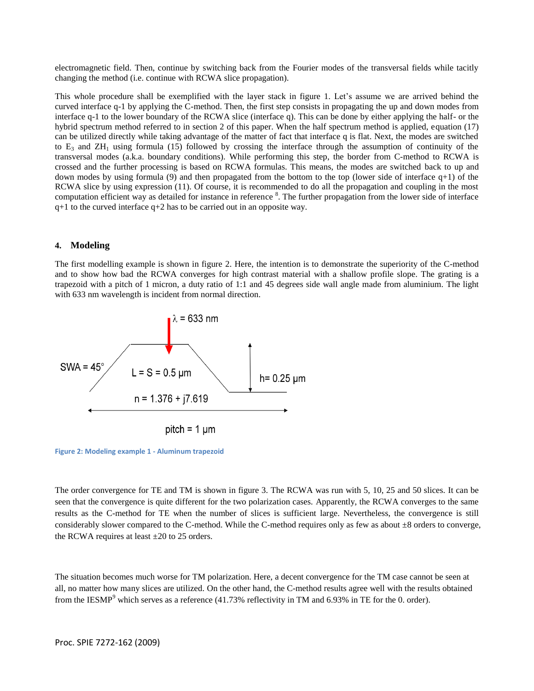electromagnetic field. Then, continue by switching back from the Fourier modes of the transversal fields while tacitly changing the method (i.e. continue with RCWA slice propagation).

This whole procedure shall be exemplified with the layer stack in figure 1. Let"s assume we are arrived behind the curved interface q-1 by applying the C-method. Then, the first step consists in propagating the up and down modes from interface q-1 to the lower boundary of the RCWA slice (interface q). This can be done by either applying the half- or the hybrid spectrum method referred to in section 2 of this paper. When the half spectrum method is applied, equation (17) can be utilized directly while taking advantage of the matter of fact that interface q is flat. Next, the modes are switched to  $E_3$  and  $ZH_1$  using formula (15) followed by crossing the interface through the assumption of continuity of the transversal modes (a.k.a. boundary conditions). While performing this step, the border from C-method to RCWA is crossed and the further processing is based on RCWA formulas. This means, the modes are switched back to up and down modes by using formula (9) and then propagated from the bottom to the top (lower side of interface  $q+1$ ) of the RCWA slice by using expression (11). Of course, it is recommended to do all the propagation and coupling in the most computation efficient way as detailed for instance in reference <sup>8</sup>. The further propagation from the lower side of interface  $q+1$  to the curved interface  $q+2$  has to be carried out in an opposite way.

### **4. Modeling**

The first modelling example is shown in figure 2. Here, the intention is to demonstrate the superiority of the C-method and to show how bad the RCWA converges for high contrast material with a shallow profile slope. The grating is a trapezoid with a pitch of 1 micron, a duty ratio of 1:1 and 45 degrees side wall angle made from aluminium. The light with 633 nm wavelength is incident from normal direction.



**Figure 2: Modeling example 1 - Aluminum trapezoid**

The order convergence for TE and TM is shown in figure 3. The RCWA was run with 5, 10, 25 and 50 slices. It can be seen that the convergence is quite different for the two polarization cases. Apparently, the RCWA converges to the same results as the C-method for TE when the number of slices is sufficient large. Nevertheless, the convergence is still considerably slower compared to the C-method. While the C-method requires only as few as about  $\pm 8$  orders to converge, the RCWA requires at least  $\pm 20$  to 25 orders.

The situation becomes much worse for TM polarization. Here, a decent convergence for the TM case cannot be seen at all, no matter how many slices are utilized. On the other hand, the C-method results agree well with the results obtained from the IESMP<sup>9</sup> which serves as a reference (41.73% reflectivity in TM and 6.93% in TE for the 0. order).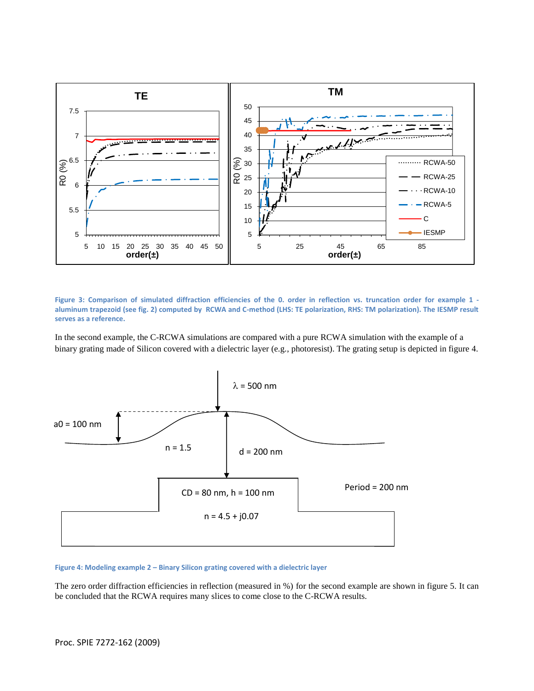

**Figure 3: Comparison of simulated diffraction efficiencies of the 0. order in reflection vs. truncation order for example 1 aluminum trapezoid (see fig. 2) computed by RCWA and C-method (LHS: TE polarization, RHS: TM polarization). The IESMP result serves as a reference.**

In the second example, the C-RCWA simulations are compared with a pure RCWA simulation with the example of a binary grating made of Silicon covered with a dielectric layer (e.g., photoresist). The grating setup is depicted in figure 4.



#### **Figure 4: Modeling example 2 – Binary Silicon grating covered with a dielectric layer**

The zero order diffraction efficiencies in reflection (measured in %) for the second example are shown in figure 5. It can be concluded that the RCWA requires many slices to come close to the C-RCWA results.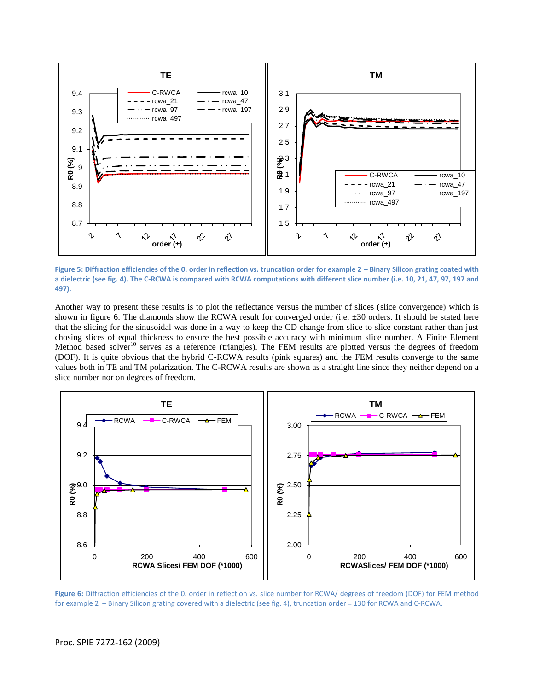

Figure 5: Diffraction efficiencies of the 0. order in reflection vs. truncation order for example 2 - Binary Silicon grating coated with **a dielectric (see fig. 4). The C-RCWA is compared with RCWA computations with different slice number (i.e. 10, 21, 47, 97, 197 and 497).**

Another way to present these results is to plot the reflectance versus the number of slices (slice convergence) which is shown in figure 6. The diamonds show the RCWA result for converged order (i.e.  $\pm 30$  orders. It should be stated here that the slicing for the sinusoidal was done in a way to keep the CD change from slice to slice constant rather than just chosing slices of equal thickness to ensure the best possible accuracy with minimum slice number. A Finite Element Method based solver<sup>10</sup> serves as a reference (triangles). The FEM results are plotted versus the degrees of freedom (DOF). It is quite obvious that the hybrid C-RCWA results (pink squares) and the FEM results converge to the same values both in TE and TM polarization. The C-RCWA results are shown as a straight line since they neither depend on a slice number nor on degrees of freedom.



Figure 6: Diffraction efficiencies of the 0. order in reflection vs. slice number for RCWA/ degrees of freedom (DOF) for FEM method for example 2 – Binary Silicon grating covered with a dielectric (see fig. 4), truncation order = ±30 for RCWA and C-RCWA.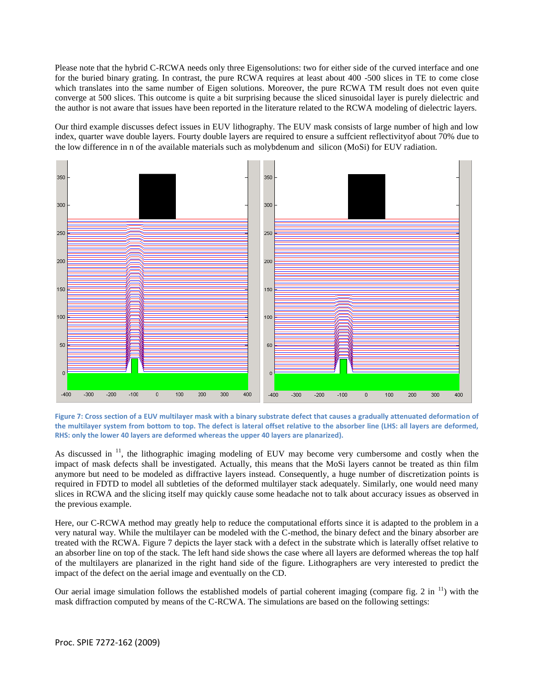Please note that the hybrid C-RCWA needs only three Eigensolutions: two for either side of the curved interface and one for the buried binary grating. In contrast, the pure RCWA requires at least about 400 -500 slices in TE to come close which translates into the same number of Eigen solutions. Moreover, the pure RCWA TM result does not even quite converge at 500 slices. This outcome is quite a bit surprising because the sliced sinusoidal layer is purely dielectric and the author is not aware that issues have been reported in the literature related to the RCWA modeling of dielectric layers.

Our third example discusses defect issues in EUV lithography. The EUV mask consists of large number of high and low index, quarter wave double layers. Fourty double layers are required to ensure a suffcient reflectivityof about 70% due to the low difference in n of the available materials such as molybdenum and silicon (MoSi) for EUV radiation.



**Figure 7: Cross section of a EUV multilayer mask with a binary substrate defect that causes a gradually attenuated deformation of the multilayer system from bottom to top. The defect is lateral offset relative to the absorber line (LHS: all layers are deformed, RHS: only the lower 40 layers are deformed whereas the upper 40 layers are planarized).**

As discussed in  $11$ , the lithographic imaging modeling of EUV may become very cumbersome and costly when the impact of mask defects shall be investigated. Actually, this means that the MoSi layers cannot be treated as thin film anymore but need to be modeled as diffractive layers instead. Consequently, a huge number of discretization points is required in FDTD to model all subtleties of the deformed multilayer stack adequately. Similarly, one would need many slices in RCWA and the slicing itself may quickly cause some headache not to talk about accuracy issues as observed in the previous example.

Here, our C-RCWA method may greatly help to reduce the computational efforts since it is adapted to the problem in a very natural way. While the multilayer can be modeled with the C-method, the binary defect and the binary absorber are treated with the RCWA. Figure 7 depicts the layer stack with a defect in the substrate which is laterally offset relative to an absorber line on top of the stack. The left hand side shows the case where all layers are deformed whereas the top half of the multilayers are planarized in the right hand side of the figure. Lithographers are very interested to predict the impact of the defect on the aerial image and eventually on the CD.

Our aerial image simulation follows the established models of partial coherent imaging (compare fig. 2 in  $\frac{11}{1}$ ) with the mask diffraction computed by means of the C-RCWA. The simulations are based on the following settings: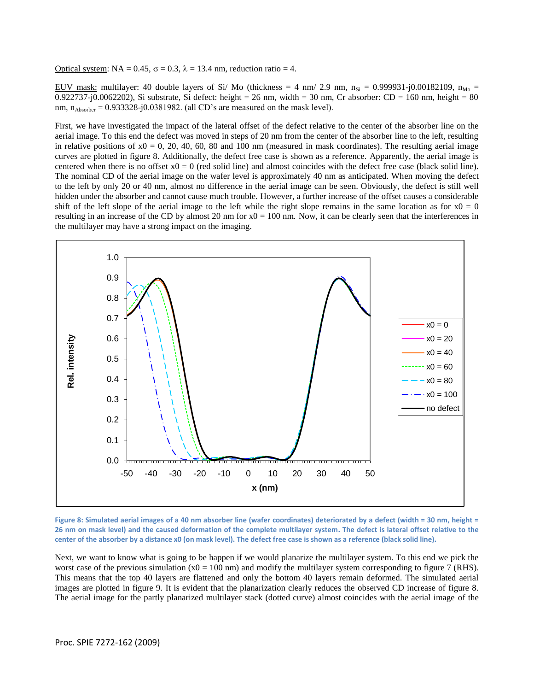Optical system: NA =  $0.45$ ,  $\sigma = 0.3$ ,  $\lambda = 13.4$  nm, reduction ratio = 4.

EUV mask: multilayer: 40 double layers of Si/ Mo (thickness = 4 nm/ 2.9 nm,  $n_{Si} = 0.999931$ -j0.00182109,  $n_{Mo} =$ 0.922737-j0.0062202), Si substrate, Si defect: height = 26 nm, width = 30 nm, Cr absorber: CD = 160 nm, height = 80 nm,  $n_{Absorber} = 0.933328 \text{--} i0.0381982$ . (all CD's are measured on the mask level).

First, we have investigated the impact of the lateral offset of the defect relative to the center of the absorber line on the aerial image. To this end the defect was moved in steps of 20 nm from the center of the absorber line to the left, resulting in relative positions of  $x0 = 0$ , 20, 40, 60, 80 and 100 nm (measured in mask coordinates). The resulting aerial image curves are plotted in figure 8. Additionally, the defect free case is shown as a reference. Apparently, the aerial image is centered when there is no offset  $x0 = 0$  (red solid line) and almost coincides with the defect free case (black solid line). The nominal CD of the aerial image on the wafer level is approximately 40 nm as anticipated. When moving the defect to the left by only 20 or 40 nm, almost no difference in the aerial image can be seen. Obviously, the defect is still well hidden under the absorber and cannot cause much trouble. However, a further increase of the offset causes a considerable shift of the left slope of the aerial image to the left while the right slope remains in the same location as for  $x0 = 0$ resulting in an increase of the CD by almost 20 nm for  $x0 = 100$  nm. Now, it can be clearly seen that the interferences in the multilayer may have a strong impact on the imaging.



**Figure 8: Simulated aerial images of a 40 nm absorber line (wafer coordinates) deteriorated by a defect (width = 30 nm, height = 26 nm on mask level) and the caused deformation of the complete multilayer system. The defect is lateral offset relative to the center of the absorber by a distance x0 (on mask level). The defect free case is shown as a reference (black solid line).**

Next, we want to know what is going to be happen if we would planarize the multilayer system. To this end we pick the worst case of the previous simulation  $(x0 = 100 \text{ nm})$  and modify the multilayer system corresponding to figure 7 (RHS). This means that the top 40 layers are flattened and only the bottom 40 layers remain deformed. The simulated aerial images are plotted in figure 9. It is evident that the planarization clearly reduces the observed CD increase of figure 8. The aerial image for the partly planarized multilayer stack (dotted curve) almost coincides with the aerial image of the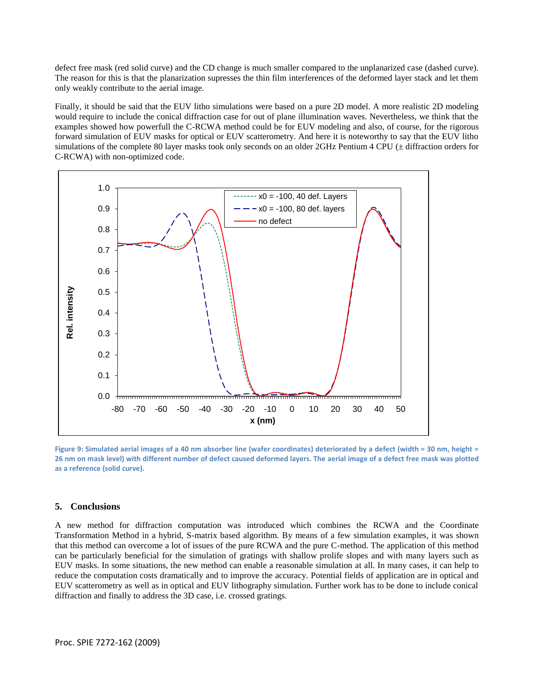defect free mask (red solid curve) and the CD change is much smaller compared to the unplanarized case (dashed curve). The reason for this is that the planarization supresses the thin film interferences of the deformed layer stack and let them only weakly contribute to the aerial image.

Finally, it should be said that the EUV litho simulations were based on a pure 2D model. A more realistic 2D modeling would require to include the conical diffraction case for out of plane illumination waves. Nevertheless, we think that the examples showed how powerfull the C-RCWA method could be for EUV modeling and also, of course, for the rigorous forward simulation of EUV masks for optical or EUV scatterometry. And here it is noteworthy to say that the EUV litho simulations of the complete 80 layer masks took only seconds on an older  $2GHz$  Pentium 4 CPU ( $\pm$  diffraction orders for C-RCWA) with non-optimized code.



**Figure 9: Simulated aerial images of a 40 nm absorber line (wafer coordinates) deteriorated by a defect (width = 30 nm, height = 26 nm on mask level) with different number of defect caused deformed layers. The aerial image of a defect free mask was plotted as a reference (solid curve).**

## **5. Conclusions**

A new method for diffraction computation was introduced which combines the RCWA and the Coordinate Transformation Method in a hybrid, S-matrix based algorithm. By means of a few simulation examples, it was shown that this method can overcome a lot of issues of the pure RCWA and the pure C-method. The application of this method can be particularly beneficial for the simulation of gratings with shallow prolife slopes and with many layers such as EUV masks. In some situations, the new method can enable a reasonable simulation at all. In many cases, it can help to reduce the computation costs dramatically and to improve the accuracy. Potential fields of application are in optical and EUV scatterometry as well as in optical and EUV lithography simulation. Further work has to be done to include conical diffraction and finally to address the 3D case, i.e. crossed gratings.